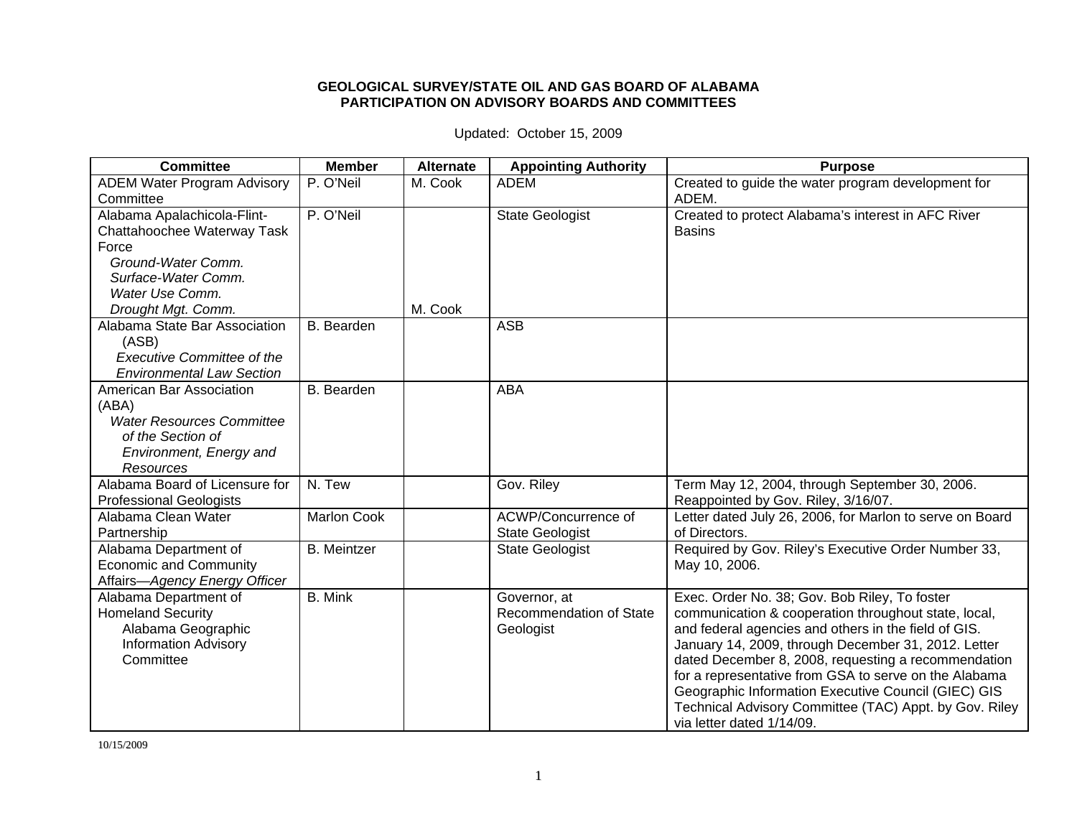## **GEOLOGICAL SURVEY/STATE OIL AND GAS BOARD OF ALABAMA PARTICIPATION ON ADVISORY BOARDS AND COMMITTEES**

Updated: October 15, 2009

| <b>Committee</b>                                    | <b>Member</b>      | <b>Alternate</b> | <b>Appointing Authority</b>    | <b>Purpose</b>                                                                                               |
|-----------------------------------------------------|--------------------|------------------|--------------------------------|--------------------------------------------------------------------------------------------------------------|
| <b>ADEM Water Program Advisory</b>                  | P. O'Neil          | M. Cook          | <b>ADEM</b>                    | Created to guide the water program development for                                                           |
| Committee                                           |                    |                  |                                | ADEM.                                                                                                        |
| Alabama Apalachicola-Flint-                         | P. O'Neil          |                  | <b>State Geologist</b>         | Created to protect Alabama's interest in AFC River                                                           |
| Chattahoochee Waterway Task                         |                    |                  |                                | <b>Basins</b>                                                                                                |
| Force                                               |                    |                  |                                |                                                                                                              |
| Ground-Water Comm.                                  |                    |                  |                                |                                                                                                              |
| Surface-Water Comm.                                 |                    |                  |                                |                                                                                                              |
| Water Use Comm.                                     |                    | M. Cook          |                                |                                                                                                              |
| Drought Mgt. Comm.<br>Alabama State Bar Association |                    |                  | <b>ASB</b>                     |                                                                                                              |
| (ASB)                                               | B. Bearden         |                  |                                |                                                                                                              |
| <b>Executive Committee of the</b>                   |                    |                  |                                |                                                                                                              |
| <b>Environmental Law Section</b>                    |                    |                  |                                |                                                                                                              |
| American Bar Association                            | <b>B.</b> Bearden  |                  | <b>ABA</b>                     |                                                                                                              |
| (ABA)                                               |                    |                  |                                |                                                                                                              |
| <b>Water Resources Committee</b>                    |                    |                  |                                |                                                                                                              |
| of the Section of                                   |                    |                  |                                |                                                                                                              |
| Environment, Energy and                             |                    |                  |                                |                                                                                                              |
| Resources                                           |                    |                  |                                |                                                                                                              |
| Alabama Board of Licensure for                      | N. Tew             |                  | Gov. Riley                     | Term May 12, 2004, through September 30, 2006.                                                               |
| <b>Professional Geologists</b>                      |                    |                  |                                | Reappointed by Gov. Riley, 3/16/07.                                                                          |
| Alabama Clean Water                                 | <b>Marlon Cook</b> |                  | ACWP/Concurrence of            | Letter dated July 26, 2006, for Marlon to serve on Board                                                     |
| Partnership                                         |                    |                  | <b>State Geologist</b>         | of Directors.                                                                                                |
| Alabama Department of                               | <b>B.</b> Meintzer |                  | <b>State Geologist</b>         | Required by Gov. Riley's Executive Order Number 33,                                                          |
| <b>Economic and Community</b>                       |                    |                  |                                | May 10, 2006.                                                                                                |
| Affairs-Agency Energy Officer                       |                    |                  |                                |                                                                                                              |
| Alabama Department of                               | <b>B.</b> Mink     |                  | Governor, at                   | Exec. Order No. 38; Gov. Bob Riley, To foster                                                                |
| <b>Homeland Security</b>                            |                    |                  | <b>Recommendation of State</b> | communication & cooperation throughout state, local,                                                         |
| Alabama Geographic                                  |                    |                  | Geologist                      | and federal agencies and others in the field of GIS.                                                         |
| <b>Information Advisory</b><br>Committee            |                    |                  |                                | January 14, 2009, through December 31, 2012. Letter                                                          |
|                                                     |                    |                  |                                | dated December 8, 2008, requesting a recommendation<br>for a representative from GSA to serve on the Alabama |
|                                                     |                    |                  |                                | Geographic Information Executive Council (GIEC) GIS                                                          |
|                                                     |                    |                  |                                | Technical Advisory Committee (TAC) Appt. by Gov. Riley                                                       |
|                                                     |                    |                  |                                | via letter dated 1/14/09.                                                                                    |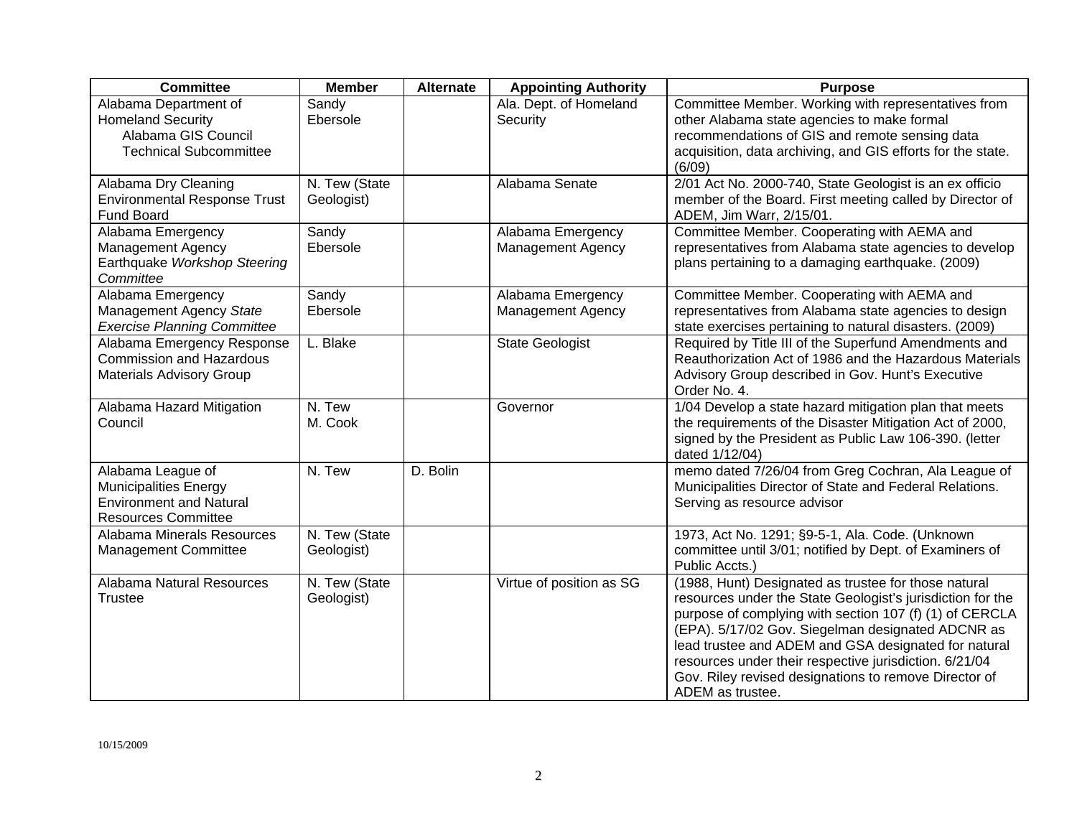| <b>Committee</b>                                                                                           | <b>Member</b>               | <b>Alternate</b> | <b>Appointing Authority</b>                   | <b>Purpose</b>                                                                                                                                                                                                                                                                                                                                                                                                                    |
|------------------------------------------------------------------------------------------------------------|-----------------------------|------------------|-----------------------------------------------|-----------------------------------------------------------------------------------------------------------------------------------------------------------------------------------------------------------------------------------------------------------------------------------------------------------------------------------------------------------------------------------------------------------------------------------|
| Alabama Department of<br><b>Homeland Security</b><br>Alabama GIS Council<br><b>Technical Subcommittee</b>  | Sandy<br>Ebersole           |                  | Ala. Dept. of Homeland<br>Security            | Committee Member. Working with representatives from<br>other Alabama state agencies to make formal<br>recommendations of GIS and remote sensing data<br>acquisition, data archiving, and GIS efforts for the state.<br>(6/09)                                                                                                                                                                                                     |
| Alabama Dry Cleaning<br><b>Environmental Response Trust</b><br><b>Fund Board</b>                           | N. Tew (State<br>Geologist) |                  | Alabama Senate                                | 2/01 Act No. 2000-740, State Geologist is an ex officio<br>member of the Board. First meeting called by Director of<br>ADEM, Jim Warr, 2/15/01.                                                                                                                                                                                                                                                                                   |
| Alabama Emergency<br>Management Agency<br>Earthquake Workshop Steering<br>Committee                        | Sandy<br>Ebersole           |                  | Alabama Emergency<br><b>Management Agency</b> | Committee Member. Cooperating with AEMA and<br>representatives from Alabama state agencies to develop<br>plans pertaining to a damaging earthquake. (2009)                                                                                                                                                                                                                                                                        |
| Alabama Emergency<br>Management Agency State<br><b>Exercise Planning Committee</b>                         | Sandy<br>Ebersole           |                  | Alabama Emergency<br><b>Management Agency</b> | Committee Member. Cooperating with AEMA and<br>representatives from Alabama state agencies to design<br>state exercises pertaining to natural disasters. (2009)                                                                                                                                                                                                                                                                   |
| Alabama Emergency Response<br><b>Commission and Hazardous</b><br><b>Materials Advisory Group</b>           | L. Blake                    |                  | <b>State Geologist</b>                        | Required by Title III of the Superfund Amendments and<br>Reauthorization Act of 1986 and the Hazardous Materials<br>Advisory Group described in Gov. Hunt's Executive<br>Order No. 4.                                                                                                                                                                                                                                             |
| Alabama Hazard Mitigation<br>Council                                                                       | N. Tew<br>M. Cook           |                  | Governor                                      | 1/04 Develop a state hazard mitigation plan that meets<br>the requirements of the Disaster Mitigation Act of 2000,<br>signed by the President as Public Law 106-390. (letter<br>dated 1/12/04)                                                                                                                                                                                                                                    |
| Alabama League of<br>Municipalities Energy<br><b>Environment and Natural</b><br><b>Resources Committee</b> | N. Tew                      | D. Bolin         |                                               | memo dated 7/26/04 from Greg Cochran, Ala League of<br>Municipalities Director of State and Federal Relations.<br>Serving as resource advisor                                                                                                                                                                                                                                                                                     |
| Alabama Minerals Resources<br><b>Management Committee</b>                                                  | N. Tew (State<br>Geologist) |                  |                                               | 1973, Act No. 1291; §9-5-1, Ala. Code. (Unknown<br>committee until 3/01; notified by Dept. of Examiners of<br>Public Accts.)                                                                                                                                                                                                                                                                                                      |
| Alabama Natural Resources<br><b>Trustee</b>                                                                | N. Tew (State<br>Geologist) |                  | Virtue of position as SG                      | (1988, Hunt) Designated as trustee for those natural<br>resources under the State Geologist's jurisdiction for the<br>purpose of complying with section 107 (f) (1) of CERCLA<br>(EPA). 5/17/02 Gov. Siegelman designated ADCNR as<br>lead trustee and ADEM and GSA designated for natural<br>resources under their respective jurisdiction. 6/21/04<br>Gov. Riley revised designations to remove Director of<br>ADEM as trustee. |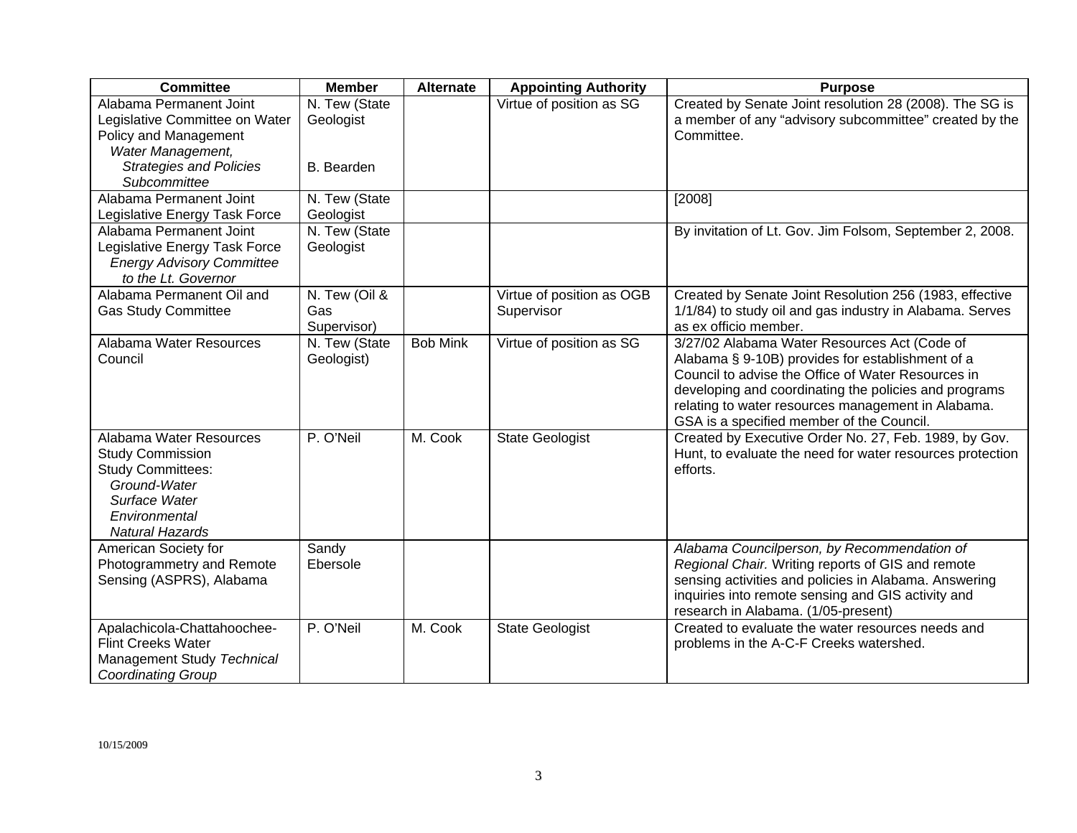| <b>Committee</b>                                                                                                                                           | <b>Member</b>                       | <b>Alternate</b> | <b>Appointing Authority</b>             | <b>Purpose</b>                                                                                                                                                                                                                                                                                                     |
|------------------------------------------------------------------------------------------------------------------------------------------------------------|-------------------------------------|------------------|-----------------------------------------|--------------------------------------------------------------------------------------------------------------------------------------------------------------------------------------------------------------------------------------------------------------------------------------------------------------------|
| Alabama Permanent Joint<br>Legislative Committee on Water<br>Policy and Management<br>Water Management,                                                    | N. Tew (State<br>Geologist          |                  | Virtue of position as SG                | Created by Senate Joint resolution 28 (2008). The SG is<br>a member of any "advisory subcommittee" created by the<br>Committee.                                                                                                                                                                                    |
| <b>Strategies and Policies</b><br>Subcommittee                                                                                                             | B. Bearden                          |                  |                                         |                                                                                                                                                                                                                                                                                                                    |
| Alabama Permanent Joint<br>Legislative Energy Task Force                                                                                                   | N. Tew (State<br>Geologist          |                  |                                         | [2008]                                                                                                                                                                                                                                                                                                             |
| Alabama Permanent Joint<br>Legislative Energy Task Force<br><b>Energy Advisory Committee</b><br>to the Lt. Governor                                        | N. Tew (State<br>Geologist          |                  |                                         | By invitation of Lt. Gov. Jim Folsom, September 2, 2008.                                                                                                                                                                                                                                                           |
| Alabama Permanent Oil and<br><b>Gas Study Committee</b>                                                                                                    | N. Tew (Oil &<br>Gas<br>Supervisor) |                  | Virtue of position as OGB<br>Supervisor | Created by Senate Joint Resolution 256 (1983, effective<br>1/1/84) to study oil and gas industry in Alabama. Serves<br>as ex officio member.                                                                                                                                                                       |
| Alabama Water Resources<br>Council                                                                                                                         | N. Tew (State<br>Geologist)         | <b>Bob Mink</b>  | Virtue of position as SG                | 3/27/02 Alabama Water Resources Act (Code of<br>Alabama § 9-10B) provides for establishment of a<br>Council to advise the Office of Water Resources in<br>developing and coordinating the policies and programs<br>relating to water resources management in Alabama.<br>GSA is a specified member of the Council. |
| Alabama Water Resources<br><b>Study Commission</b><br><b>Study Committees:</b><br>Ground-Water<br>Surface Water<br>Environmental<br><b>Natural Hazards</b> | P. O'Neil                           | M. Cook          | <b>State Geologist</b>                  | Created by Executive Order No. 27, Feb. 1989, by Gov.<br>Hunt, to evaluate the need for water resources protection<br>efforts.                                                                                                                                                                                     |
| American Society for<br>Photogrammetry and Remote<br>Sensing (ASPRS), Alabama                                                                              | Sandy<br>Ebersole                   |                  |                                         | Alabama Councilperson, by Recommendation of<br>Regional Chair. Writing reports of GIS and remote<br>sensing activities and policies in Alabama. Answering<br>inquiries into remote sensing and GIS activity and<br>research in Alabama. (1/05-present)                                                             |
| Apalachicola-Chattahoochee-<br><b>Flint Creeks Water</b><br>Management Study Technical<br><b>Coordinating Group</b>                                        | P. O'Neil                           | M. Cook          | <b>State Geologist</b>                  | Created to evaluate the water resources needs and<br>problems in the A-C-F Creeks watershed.                                                                                                                                                                                                                       |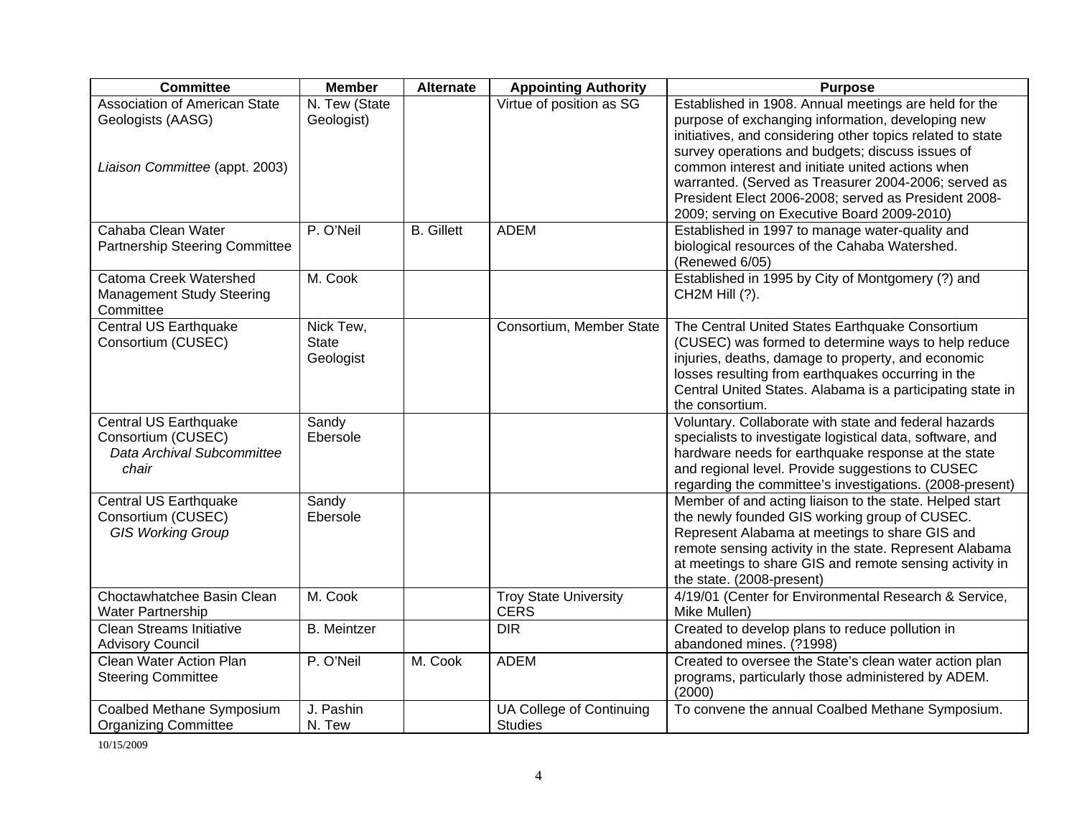| <b>Committee</b>                                                                     | <b>Member</b>                          | <b>Alternate</b>  | <b>Appointing Authority</b>                 | <b>Purpose</b>                                                                                                                                                                                                                                                                                                                                                                                                                                  |
|--------------------------------------------------------------------------------------|----------------------------------------|-------------------|---------------------------------------------|-------------------------------------------------------------------------------------------------------------------------------------------------------------------------------------------------------------------------------------------------------------------------------------------------------------------------------------------------------------------------------------------------------------------------------------------------|
| Association of American State<br>Geologists (AASG)<br>Liaison Committee (appt. 2003) | N. Tew (State<br>Geologist)            |                   | Virtue of position as SG                    | Established in 1908. Annual meetings are held for the<br>purpose of exchanging information, developing new<br>initiatives, and considering other topics related to state<br>survey operations and budgets; discuss issues of<br>common interest and initiate united actions when<br>warranted. (Served as Treasurer 2004-2006; served as<br>President Elect 2006-2008; served as President 2008-<br>2009; serving on Executive Board 2009-2010) |
| Cahaba Clean Water<br><b>Partnership Steering Committee</b>                          | P. O'Neil                              | <b>B.</b> Gillett | <b>ADEM</b>                                 | Established in 1997 to manage water-quality and<br>biological resources of the Cahaba Watershed.<br>(Renewed 6/05)                                                                                                                                                                                                                                                                                                                              |
| Catoma Creek Watershed<br><b>Management Study Steering</b><br>Committee              | M. Cook                                |                   |                                             | Established in 1995 by City of Montgomery (?) and<br>CH2M Hill (?).                                                                                                                                                                                                                                                                                                                                                                             |
| <b>Central US Earthquake</b><br>Consortium (CUSEC)                                   | Nick Tew,<br><b>State</b><br>Geologist |                   | Consortium, Member State                    | The Central United States Earthquake Consortium<br>(CUSEC) was formed to determine ways to help reduce<br>injuries, deaths, damage to property, and economic<br>losses resulting from earthquakes occurring in the<br>Central United States. Alabama is a participating state in<br>the consortium.                                                                                                                                             |
| Central US Earthquake<br>Consortium (CUSEC)<br>Data Archival Subcommittee<br>chair   | Sandy<br>Ebersole                      |                   |                                             | Voluntary. Collaborate with state and federal hazards<br>specialists to investigate logistical data, software, and<br>hardware needs for earthquake response at the state<br>and regional level. Provide suggestions to CUSEC<br>regarding the committee's investigations. (2008-present)                                                                                                                                                       |
| Central US Earthquake<br>Consortium (CUSEC)<br><b>GIS Working Group</b>              | Sandy<br>Ebersole                      |                   |                                             | Member of and acting liaison to the state. Helped start<br>the newly founded GIS working group of CUSEC.<br>Represent Alabama at meetings to share GIS and<br>remote sensing activity in the state. Represent Alabama<br>at meetings to share GIS and remote sensing activity in<br>the state. (2008-present)                                                                                                                                   |
| Choctawhatchee Basin Clean<br><b>Water Partnership</b>                               | M. Cook                                |                   | <b>Troy State University</b><br><b>CERS</b> | 4/19/01 (Center for Environmental Research & Service,<br>Mike Mullen)                                                                                                                                                                                                                                                                                                                                                                           |
| <b>Clean Streams Initiative</b><br><b>Advisory Council</b>                           | <b>B.</b> Meintzer                     |                   | <b>DIR</b>                                  | Created to develop plans to reduce pollution in<br>abandoned mines. (?1998)                                                                                                                                                                                                                                                                                                                                                                     |
| Clean Water Action Plan<br><b>Steering Committee</b>                                 | P. O'Neil                              | M. Cook           | <b>ADEM</b>                                 | Created to oversee the State's clean water action plan<br>programs, particularly those administered by ADEM.<br>(2000)                                                                                                                                                                                                                                                                                                                          |
| Coalbed Methane Symposium<br><b>Organizing Committee</b>                             | J. Pashin<br>N. Tew                    |                   | UA College of Continuing<br><b>Studies</b>  | To convene the annual Coalbed Methane Symposium.                                                                                                                                                                                                                                                                                                                                                                                                |

10/15/2009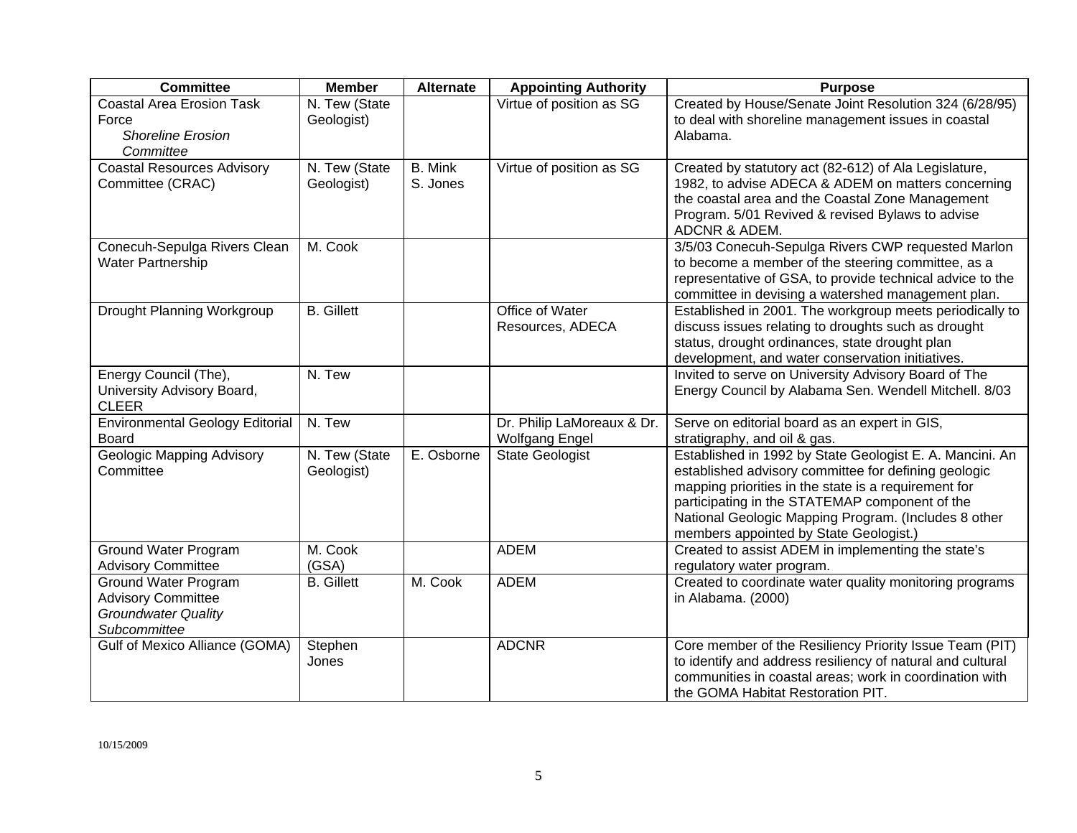| <b>Committee</b>                                                                                | <b>Member</b>               | <b>Alternate</b>           | <b>Appointing Authority</b>                         | <b>Purpose</b>                                                                                                                                                                                                                                                                                                               |
|-------------------------------------------------------------------------------------------------|-----------------------------|----------------------------|-----------------------------------------------------|------------------------------------------------------------------------------------------------------------------------------------------------------------------------------------------------------------------------------------------------------------------------------------------------------------------------------|
| <b>Coastal Area Erosion Task</b><br>Force<br><b>Shoreline Erosion</b><br>Committee              | N. Tew (State<br>Geologist) |                            | Virtue of position as SG                            | Created by House/Senate Joint Resolution 324 (6/28/95)<br>to deal with shoreline management issues in coastal<br>Alabama.                                                                                                                                                                                                    |
| <b>Coastal Resources Advisory</b><br>Committee (CRAC)                                           | N. Tew (State<br>Geologist) | <b>B.</b> Mink<br>S. Jones | Virtue of position as SG                            | Created by statutory act (82-612) of Ala Legislature,<br>1982, to advise ADECA & ADEM on matters concerning<br>the coastal area and the Coastal Zone Management<br>Program. 5/01 Revived & revised Bylaws to advise<br>ADCNR & ADEM.                                                                                         |
| Conecuh-Sepulga Rivers Clean<br><b>Water Partnership</b>                                        | M. Cook                     |                            |                                                     | 3/5/03 Conecuh-Sepulga Rivers CWP requested Marlon<br>to become a member of the steering committee, as a<br>representative of GSA, to provide technical advice to the<br>committee in devising a watershed management plan.                                                                                                  |
| Drought Planning Workgroup                                                                      | <b>B.</b> Gillett           |                            | Office of Water<br>Resources, ADECA                 | Established in 2001. The workgroup meets periodically to<br>discuss issues relating to droughts such as drought<br>status, drought ordinances, state drought plan<br>development, and water conservation initiatives.                                                                                                        |
| Energy Council (The),<br>University Advisory Board,<br><b>CLEER</b>                             | N. Tew                      |                            |                                                     | Invited to serve on University Advisory Board of The<br>Energy Council by Alabama Sen. Wendell Mitchell. 8/03                                                                                                                                                                                                                |
| <b>Environmental Geology Editorial</b><br><b>Board</b>                                          | N. Tew                      |                            | Dr. Philip LaMoreaux & Dr.<br><b>Wolfgang Engel</b> | Serve on editorial board as an expert in GIS,<br>stratigraphy, and oil & gas.                                                                                                                                                                                                                                                |
| Geologic Mapping Advisory<br>Committee                                                          | N. Tew (State<br>Geologist) | E. Osborne                 | <b>State Geologist</b>                              | Established in 1992 by State Geologist E. A. Mancini. An<br>established advisory committee for defining geologic<br>mapping priorities in the state is a requirement for<br>participating in the STATEMAP component of the<br>National Geologic Mapping Program. (Includes 8 other<br>members appointed by State Geologist.) |
| <b>Ground Water Program</b><br><b>Advisory Committee</b>                                        | M. Cook<br>(GSA)            |                            | <b>ADEM</b>                                         | Created to assist ADEM in implementing the state's<br>regulatory water program.                                                                                                                                                                                                                                              |
| Ground Water Program<br><b>Advisory Committee</b><br><b>Groundwater Quality</b><br>Subcommittee | <b>B.</b> Gillett           | M. Cook                    | <b>ADEM</b>                                         | Created to coordinate water quality monitoring programs<br>in Alabama. (2000)                                                                                                                                                                                                                                                |
| Gulf of Mexico Alliance (GOMA)                                                                  | Stephen<br>Jones            |                            | <b>ADCNR</b>                                        | Core member of the Resiliency Priority Issue Team (PIT)<br>to identify and address resiliency of natural and cultural<br>communities in coastal areas; work in coordination with<br>the GOMA Habitat Restoration PIT.                                                                                                        |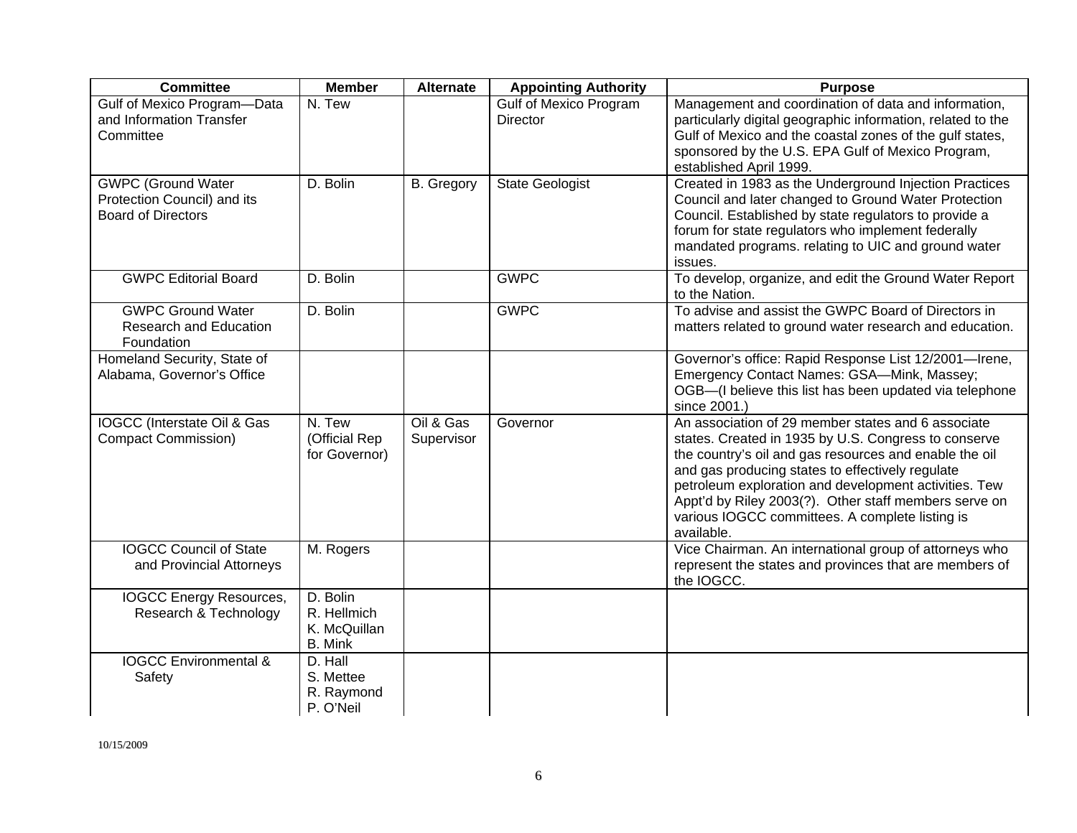| <b>Committee</b>                                                                      | <b>Member</b>                                             | <b>Alternate</b>        | <b>Appointing Authority</b>                      | <b>Purpose</b>                                                                                                                                                                                                                                                                                                                                                                                              |
|---------------------------------------------------------------------------------------|-----------------------------------------------------------|-------------------------|--------------------------------------------------|-------------------------------------------------------------------------------------------------------------------------------------------------------------------------------------------------------------------------------------------------------------------------------------------------------------------------------------------------------------------------------------------------------------|
| Gulf of Mexico Program-Data<br>and Information Transfer<br>Committee                  | N. Tew                                                    |                         | <b>Gulf of Mexico Program</b><br><b>Director</b> | Management and coordination of data and information,<br>particularly digital geographic information, related to the<br>Gulf of Mexico and the coastal zones of the gulf states,<br>sponsored by the U.S. EPA Gulf of Mexico Program,<br>established April 1999.                                                                                                                                             |
| <b>GWPC (Ground Water</b><br>Protection Council) and its<br><b>Board of Directors</b> | D. Bolin                                                  | <b>B.</b> Gregory       | <b>State Geologist</b>                           | Created in 1983 as the Underground Injection Practices<br>Council and later changed to Ground Water Protection<br>Council. Established by state regulators to provide a<br>forum for state regulators who implement federally<br>mandated programs. relating to UIC and ground water<br>issues.                                                                                                             |
| <b>GWPC Editorial Board</b>                                                           | D. Bolin                                                  |                         | <b>GWPC</b>                                      | To develop, organize, and edit the Ground Water Report<br>to the Nation.                                                                                                                                                                                                                                                                                                                                    |
| <b>GWPC Ground Water</b><br><b>Research and Education</b><br>Foundation               | $\overline{D}$ . Bolin                                    |                         | <b>GWPC</b>                                      | To advise and assist the GWPC Board of Directors in<br>matters related to ground water research and education.                                                                                                                                                                                                                                                                                              |
| Homeland Security, State of<br>Alabama, Governor's Office                             |                                                           |                         |                                                  | Governor's office: Rapid Response List 12/2001-Irene,<br>Emergency Contact Names: GSA-Mink, Massey;<br>OGB-(I believe this list has been updated via telephone<br>since 2001.)                                                                                                                                                                                                                              |
| IOGCC (Interstate Oil & Gas<br><b>Compact Commission)</b>                             | N. Tew<br>(Official Rep<br>for Governor)                  | Oil & Gas<br>Supervisor | Governor                                         | An association of 29 member states and 6 associate<br>states. Created in 1935 by U.S. Congress to conserve<br>the country's oil and gas resources and enable the oil<br>and gas producing states to effectively regulate<br>petroleum exploration and development activities. Tew<br>Appt'd by Riley 2003(?). Other staff members serve on<br>various IOGCC committees. A complete listing is<br>available. |
| <b>IOGCC Council of State</b><br>and Provincial Attorneys                             | M. Rogers                                                 |                         |                                                  | Vice Chairman. An international group of attorneys who<br>represent the states and provinces that are members of<br>the IOGCC.                                                                                                                                                                                                                                                                              |
| <b>IOGCC Energy Resources,</b><br>Research & Technology                               | D. Bolin<br>R. Hellmich<br>K. McQuillan<br><b>B.</b> Mink |                         |                                                  |                                                                                                                                                                                                                                                                                                                                                                                                             |
| <b>IOGCC Environmental &amp;</b><br>Safety                                            | D. Hall<br>S. Mettee<br>R. Raymond<br>P. O'Neil           |                         |                                                  |                                                                                                                                                                                                                                                                                                                                                                                                             |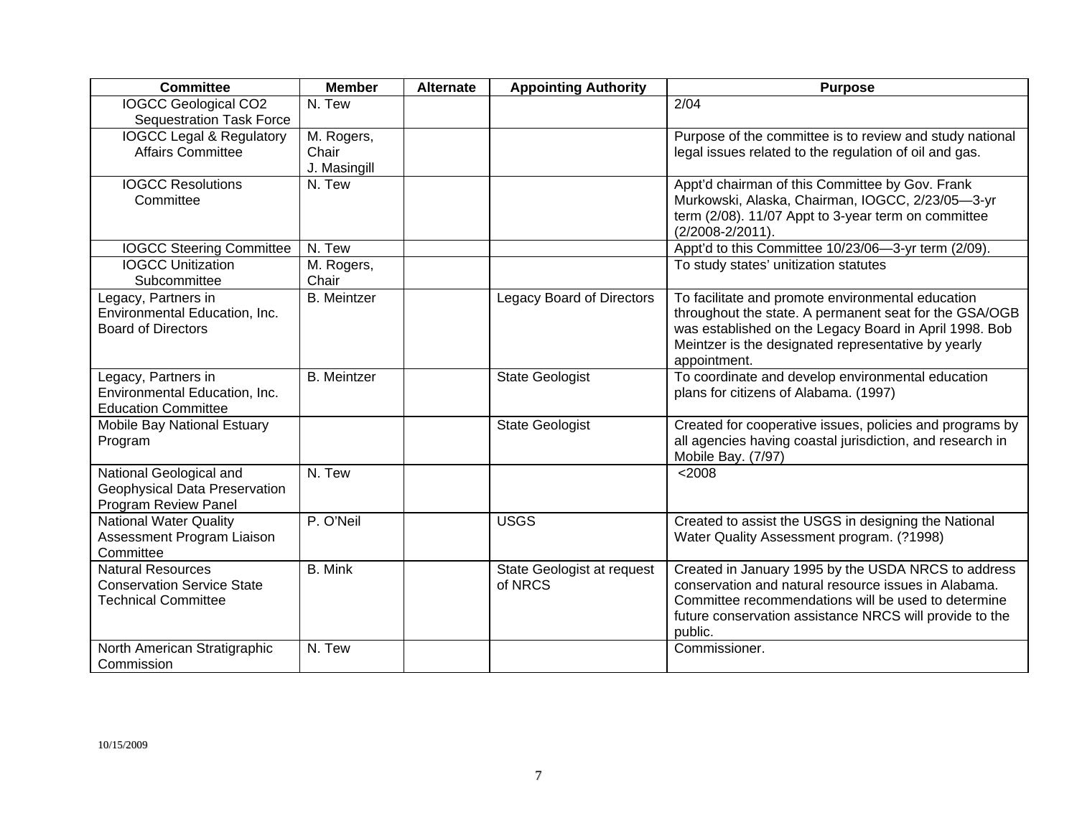| <b>Committee</b>                                                                            | <b>Member</b>                       | <b>Alternate</b> | <b>Appointing Authority</b>           | <b>Purpose</b>                                                                                                                                                                                                                               |
|---------------------------------------------------------------------------------------------|-------------------------------------|------------------|---------------------------------------|----------------------------------------------------------------------------------------------------------------------------------------------------------------------------------------------------------------------------------------------|
| <b>IOGCC Geological CO2</b><br><b>Sequestration Task Force</b>                              | N. Tew                              |                  |                                       | 2/04                                                                                                                                                                                                                                         |
| <b>IOGCC Legal &amp; Regulatory</b><br><b>Affairs Committee</b>                             | M. Rogers,<br>Chair<br>J. Masingill |                  |                                       | Purpose of the committee is to review and study national<br>legal issues related to the regulation of oil and gas.                                                                                                                           |
| <b>IOGCC Resolutions</b><br>Committee                                                       | N. Tew                              |                  |                                       | Appt'd chairman of this Committee by Gov. Frank<br>Murkowski, Alaska, Chairman, IOGCC, 2/23/05-3-yr<br>term (2/08). 11/07 Appt to 3-year term on committee<br>(2/2008-2/2011).                                                               |
| <b>IOGCC Steering Committee</b>                                                             | N. Tew                              |                  |                                       | Appt'd to this Committee 10/23/06-3-yr term (2/09).                                                                                                                                                                                          |
| <b>IOGCC Unitization</b><br>Subcommittee                                                    | M. Rogers,<br>Chair                 |                  |                                       | To study states' unitization statutes                                                                                                                                                                                                        |
| Legacy, Partners in<br>Environmental Education, Inc.<br><b>Board of Directors</b>           | <b>B.</b> Meintzer                  |                  | <b>Legacy Board of Directors</b>      | To facilitate and promote environmental education<br>throughout the state. A permanent seat for the GSA/OGB<br>was established on the Legacy Board in April 1998. Bob<br>Meintzer is the designated representative by yearly<br>appointment. |
| Legacy, Partners in<br>Environmental Education, Inc.<br><b>Education Committee</b>          | <b>B.</b> Meintzer                  |                  | <b>State Geologist</b>                | To coordinate and develop environmental education<br>plans for citizens of Alabama. (1997)                                                                                                                                                   |
| Mobile Bay National Estuary<br>Program                                                      |                                     |                  | <b>State Geologist</b>                | Created for cooperative issues, policies and programs by<br>all agencies having coastal jurisdiction, and research in<br>Mobile Bay. (7/97)                                                                                                  |
| National Geological and<br>Geophysical Data Preservation<br>Program Review Panel            | N. Tew                              |                  |                                       | < 2008                                                                                                                                                                                                                                       |
| <b>National Water Quality</b><br>Assessment Program Liaison<br>Committee                    | P. O'Neil                           |                  | <b>USGS</b>                           | Created to assist the USGS in designing the National<br>Water Quality Assessment program. (?1998)                                                                                                                                            |
| <b>Natural Resources</b><br><b>Conservation Service State</b><br><b>Technical Committee</b> | <b>B.</b> Mink                      |                  | State Geologist at request<br>of NRCS | Created in January 1995 by the USDA NRCS to address<br>conservation and natural resource issues in Alabama.<br>Committee recommendations will be used to determine<br>future conservation assistance NRCS will provide to the<br>public.     |
| North American Stratigraphic<br>Commission                                                  | N. Tew                              |                  |                                       | Commissioner.                                                                                                                                                                                                                                |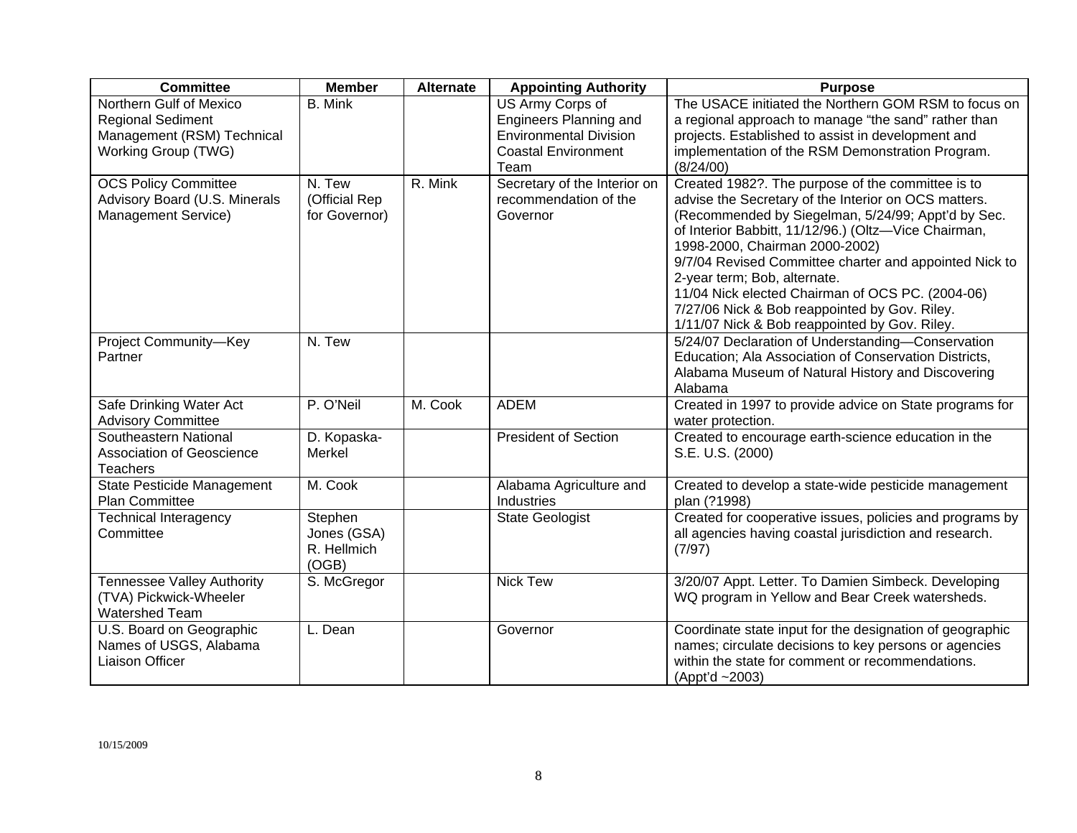| <b>Committee</b>                                                                                         | <b>Member</b>                                  | <b>Alternate</b> | <b>Appointing Authority</b>                                                                                              | <b>Purpose</b>                                                                                                                                                                                                                                                                                                                                                                                                                                                                                            |
|----------------------------------------------------------------------------------------------------------|------------------------------------------------|------------------|--------------------------------------------------------------------------------------------------------------------------|-----------------------------------------------------------------------------------------------------------------------------------------------------------------------------------------------------------------------------------------------------------------------------------------------------------------------------------------------------------------------------------------------------------------------------------------------------------------------------------------------------------|
| Northern Gulf of Mexico<br><b>Regional Sediment</b><br>Management (RSM) Technical<br>Working Group (TWG) | <b>B.</b> Mink                                 |                  | US Army Corps of<br><b>Engineers Planning and</b><br><b>Environmental Division</b><br><b>Coastal Environment</b><br>Team | The USACE initiated the Northern GOM RSM to focus on<br>a regional approach to manage "the sand" rather than<br>projects. Established to assist in development and<br>implementation of the RSM Demonstration Program.<br>(8/24/00)                                                                                                                                                                                                                                                                       |
| <b>OCS Policy Committee</b><br>Advisory Board (U.S. Minerals<br>Management Service)                      | N. Tew<br>(Official Rep<br>for Governor)       | R. Mink          | Secretary of the Interior on<br>recommendation of the<br>Governor                                                        | Created 1982?. The purpose of the committee is to<br>advise the Secretary of the Interior on OCS matters.<br>(Recommended by Siegelman, 5/24/99; Appt'd by Sec.<br>of Interior Babbitt, 11/12/96.) (Oltz-Vice Chairman,<br>1998-2000, Chairman 2000-2002)<br>9/7/04 Revised Committee charter and appointed Nick to<br>2-year term; Bob, alternate.<br>11/04 Nick elected Chairman of OCS PC. (2004-06)<br>7/27/06 Nick & Bob reappointed by Gov. Riley.<br>1/11/07 Nick & Bob reappointed by Gov. Riley. |
| Project Community-Key<br>Partner                                                                         | N. Tew                                         |                  |                                                                                                                          | 5/24/07 Declaration of Understanding-Conservation<br>Education; Ala Association of Conservation Districts,<br>Alabama Museum of Natural History and Discovering<br>Alabama                                                                                                                                                                                                                                                                                                                                |
| Safe Drinking Water Act<br><b>Advisory Committee</b>                                                     | P. O'Neil                                      | M. Cook          | <b>ADEM</b>                                                                                                              | Created in 1997 to provide advice on State programs for<br>water protection.                                                                                                                                                                                                                                                                                                                                                                                                                              |
| Southeastern National<br><b>Association of Geoscience</b><br><b>Teachers</b>                             | D. Kopaska-<br><b>Merkel</b>                   |                  | <b>President of Section</b>                                                                                              | Created to encourage earth-science education in the<br>S.E. U.S. (2000)                                                                                                                                                                                                                                                                                                                                                                                                                                   |
| State Pesticide Management<br>Plan Committee                                                             | M. Cook                                        |                  | Alabama Agriculture and<br>Industries                                                                                    | Created to develop a state-wide pesticide management<br>plan (?1998)                                                                                                                                                                                                                                                                                                                                                                                                                                      |
| <b>Technical Interagency</b><br>Committee                                                                | Stephen<br>Jones (GSA)<br>R. Hellmich<br>(OGB) |                  | <b>State Geologist</b>                                                                                                   | Created for cooperative issues, policies and programs by<br>all agencies having coastal jurisdiction and research.<br>(7/97)                                                                                                                                                                                                                                                                                                                                                                              |
| <b>Tennessee Valley Authority</b><br>(TVA) Pickwick-Wheeler<br>Watershed Team                            | S. McGregor                                    |                  | <b>Nick Tew</b>                                                                                                          | 3/20/07 Appt. Letter. To Damien Simbeck. Developing<br>WQ program in Yellow and Bear Creek watersheds.                                                                                                                                                                                                                                                                                                                                                                                                    |
| U.S. Board on Geographic<br>Names of USGS, Alabama<br><b>Liaison Officer</b>                             | L. Dean                                        |                  | Governor                                                                                                                 | Coordinate state input for the designation of geographic<br>names; circulate decisions to key persons or agencies<br>within the state for comment or recommendations.<br>(Appt'd ~2003)                                                                                                                                                                                                                                                                                                                   |